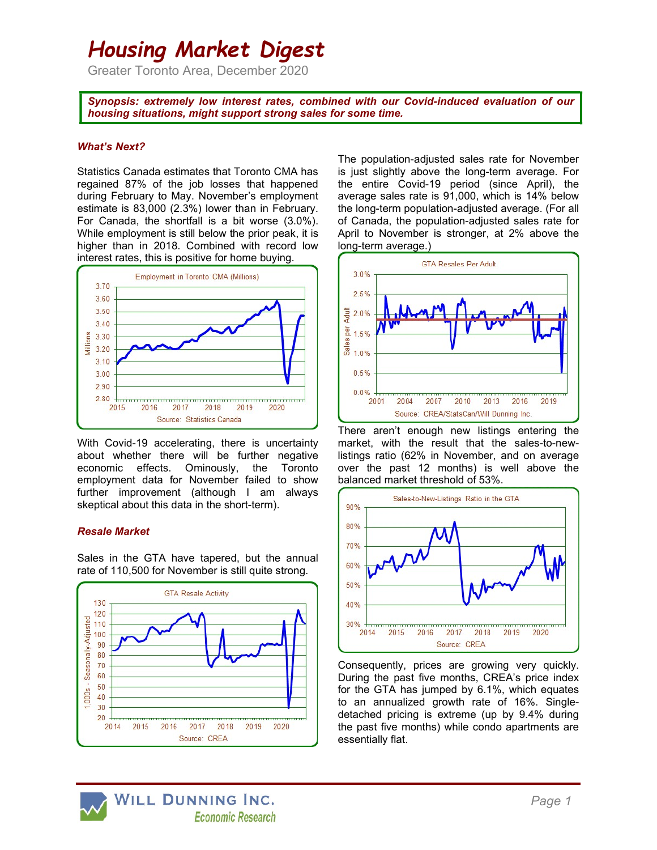# Housing Market Digest

Greater Toronto Area, December 2020

Synopsis: extremely low interest rates, combined with our Covid-induced evaluation of our housing situations, might support strong sales for some time.

### What's Next?

Statistics Canada estimates that Toronto CMA has regained 87% of the job losses that happened during February to May. November's employment estimate is 83,000 (2.3%) lower than in February. For Canada, the shortfall is a bit worse (3.0%). While employment is still below the prior peak, it is higher than in 2018. Combined with record low interest rates, this is positive for home buying.



With Covid-19 accelerating, there is uncertainty about whether there will be further negative economic effects. Ominously, the Toronto employment data for November failed to show further improvement (although I am always skeptical about this data in the short-term).

## Resale Market

Sales in the GTA have tapered, but the annual rate of 110,500 for November is still quite strong.



The population-adjusted sales rate for November is just slightly above the long-term average. For the entire Covid-19 period (since April), the average sales rate is 91,000, which is 14% below the long-term population-adjusted average. (For all of Canada, the population-adjusted sales rate for April to November is stronger, at 2% above the long-term average.)



There aren't enough new listings entering the market, with the result that the sales-to-newlistings ratio (62% in November, and on average over the past 12 months) is well above the balanced market threshold of 53%.



Consequently, prices are growing very quickly. During the past five months, CREA's price index for the GTA has jumped by 6.1%, which equates to an annualized growth rate of 16%. Singledetached pricing is extreme (up by 9.4% during the past five months) while condo apartments are essentially flat.